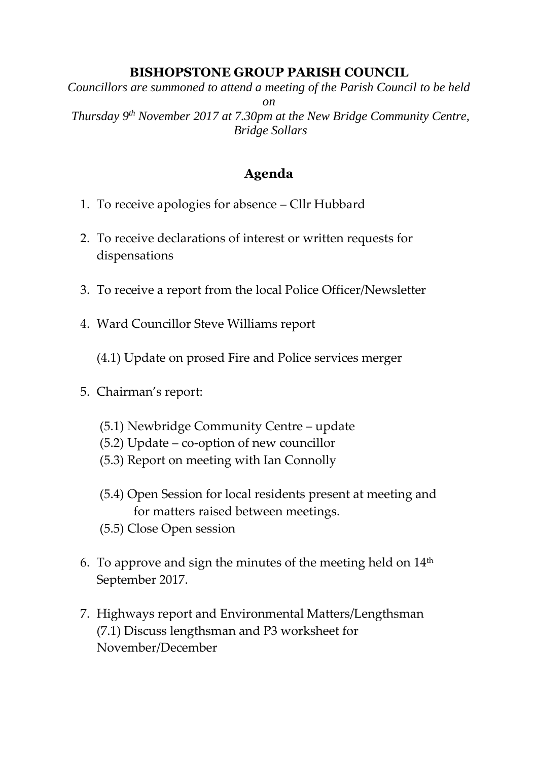## **BISHOPSTONE GROUP PARISH COUNCIL**

*Councillors are summoned to attend a meeting of the Parish Council to be held on Thursday 9 th November 2017 at 7.30pm at the New Bridge Community Centre, Bridge Sollars*

## **Agenda**

- 1. To receive apologies for absence Cllr Hubbard
- 2. To receive declarations of interest or written requests for dispensations
- 3. To receive a report from the local Police Officer/Newsletter
- 4. Ward Councillor Steve Williams report

(4.1) Update on prosed Fire and Police services merger

- 5. Chairman's report:
	- (5.1) Newbridge Community Centre update
	- (5.2) Update co-option of new councillor
	- (5.3) Report on meeting with Ian Connolly
	- (5.4) Open Session for local residents present at meeting and for matters raised between meetings.
	- (5.5) Close Open session
- 6. To approve and sign the minutes of the meeting held on  $14<sup>th</sup>$ September 2017.
- 7. Highways report and Environmental Matters/Lengthsman (7.1) Discuss lengthsman and P3 worksheet for November/December